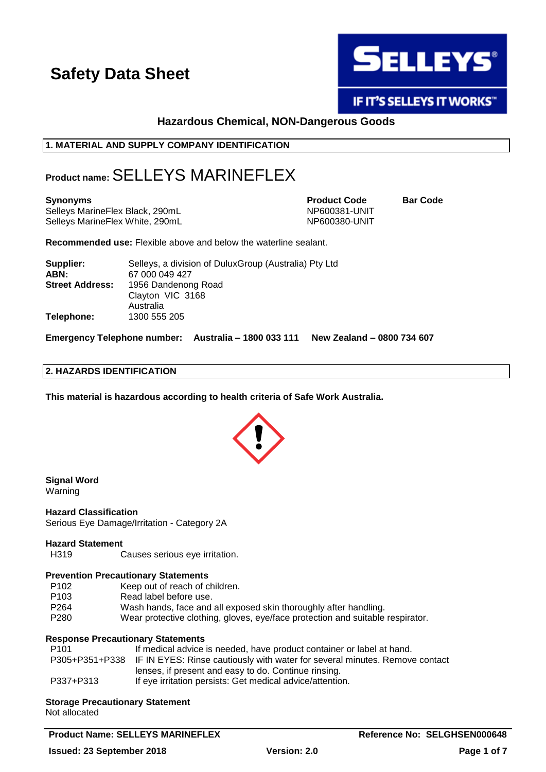

IF IT'S SELLEYS IT WORKS"

## **Hazardous Chemical, NON-Dangerous Goods**

## **1. MATERIAL AND SUPPLY COMPANY IDENTIFICATION**

## **Product name:** SELLEYS MARINEFLEX

Selleys MarineFlex Black, 290mL NP600381-UNIT Selleys MarineFlex White, 290mL NP600380-UNIT

**Synonyms Product Code Bar Code**

**Recommended use:** Flexible above and below the waterline sealant.

| Supplier:              | Selleys, a division of DuluxGroup (Australia) Pty Ltd |
|------------------------|-------------------------------------------------------|
| ABN:                   | 67 000 049 427                                        |
| <b>Street Address:</b> | 1956 Dandenong Road                                   |
|                        | Clayton VIC 3168                                      |
|                        | Australia                                             |
| Telephone:             | 1300 555 205                                          |

**Emergency Telephone number: Australia – 1800 033 111 New Zealand – 0800 734 607**

## **2. HAZARDS IDENTIFICATION**

**This material is hazardous according to health criteria of Safe Work Australia.**



**Signal Word** Warning

**Hazard Classification** Serious Eye Damage/Irritation - Category 2A

### **Hazard Statement**

H319 Causes serious eye irritation.

### **Prevention Precautionary Statements**

- P102 Keep out of reach of children.
- P103 Read label before use.
- P264 Wash hands, face and all exposed skin thoroughly after handling.
- P280 Wear protective clothing, gloves, eye/face protection and suitable respirator.

### **Response Precautionary Statements**

| P101      | If medical advice is needed, have product container or label at hand.                      |
|-----------|--------------------------------------------------------------------------------------------|
|           | P305+P351+P338 IF IN EYES: Rinse cautiously with water for several minutes. Remove contact |
|           | lenses, if present and easy to do. Continue rinsing.                                       |
| P337+P313 | If eye irritation persists: Get medical advice/attention.                                  |

#### **Storage Precautionary Statement** Not allocated

**Product Name: SELLEYS MARINEFLEX**  And the second of the second of the second as  $\blacksquare$  Reference No: SELGHSEN000648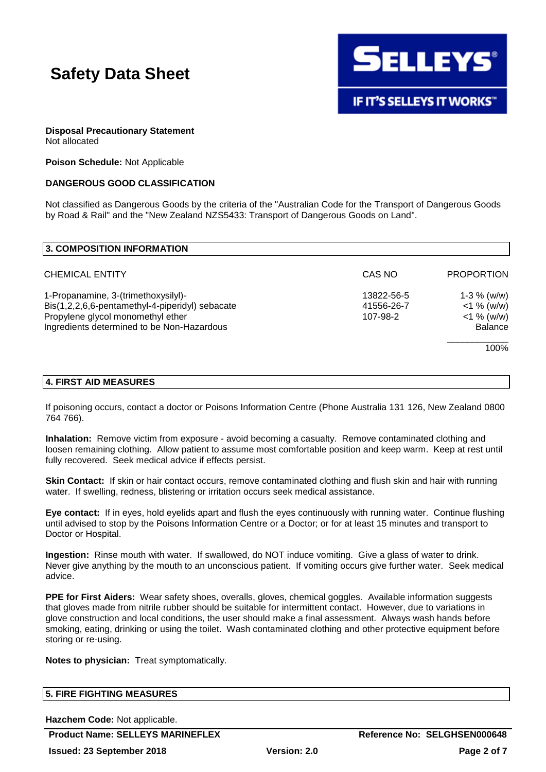

## **Disposal Precautionary Statement**

Not allocated

**Poison Schedule:** Not Applicable

## **DANGEROUS GOOD CLASSIFICATION**

Not classified as Dangerous Goods by the criteria of the "Australian Code for the Transport of Dangerous Goods by Road & Rail" and the "New Zealand NZS5433: Transport of Dangerous Goods on Land".

| 3. COMPOSITION INFORMATION                                                                                                                                                |                                      |                                                                    |
|---------------------------------------------------------------------------------------------------------------------------------------------------------------------------|--------------------------------------|--------------------------------------------------------------------|
| <b>CHEMICAL ENTITY</b>                                                                                                                                                    | CAS NO                               | <b>PROPORTION</b>                                                  |
| 1-Propanamine, 3-(trimethoxysilyl)-<br>Bis(1,2,2,6,6-pentamethyl-4-piperidyl) sebacate<br>Propylene glycol monomethyl ether<br>Ingredients determined to be Non-Hazardous | 13822-56-5<br>41556-26-7<br>107-98-2 | $1-3 \%$ (w/w)<br>$<$ 1 % (w/w)<br>$<$ 1 % (w/w)<br><b>Balance</b> |
|                                                                                                                                                                           |                                      | 100%                                                               |

## **4. FIRST AID MEASURES**

If poisoning occurs, contact a doctor or Poisons Information Centre (Phone Australia 131 126, New Zealand 0800 764 766).

**Inhalation:** Remove victim from exposure - avoid becoming a casualty. Remove contaminated clothing and loosen remaining clothing. Allow patient to assume most comfortable position and keep warm. Keep at rest until fully recovered. Seek medical advice if effects persist.

**Skin Contact:** If skin or hair contact occurs, remove contaminated clothing and flush skin and hair with running water. If swelling, redness, blistering or irritation occurs seek medical assistance.

**Eye contact:** If in eyes, hold eyelids apart and flush the eyes continuously with running water. Continue flushing until advised to stop by the Poisons Information Centre or a Doctor; or for at least 15 minutes and transport to Doctor or Hospital.

**Ingestion:** Rinse mouth with water. If swallowed, do NOT induce vomiting. Give a glass of water to drink. Never give anything by the mouth to an unconscious patient. If vomiting occurs give further water. Seek medical advice.

**PPE for First Aiders:** Wear safety shoes, overalls, gloves, chemical goggles. Available information suggests that gloves made from nitrile rubber should be suitable for intermittent contact. However, due to variations in glove construction and local conditions, the user should make a final assessment. Always wash hands before smoking, eating, drinking or using the toilet. Wash contaminated clothing and other protective equipment before storing or re-using.

**Notes to physician:** Treat symptomatically.

## **5. FIRE FIGHTING MEASURES**

**Hazchem Code:** Not applicable.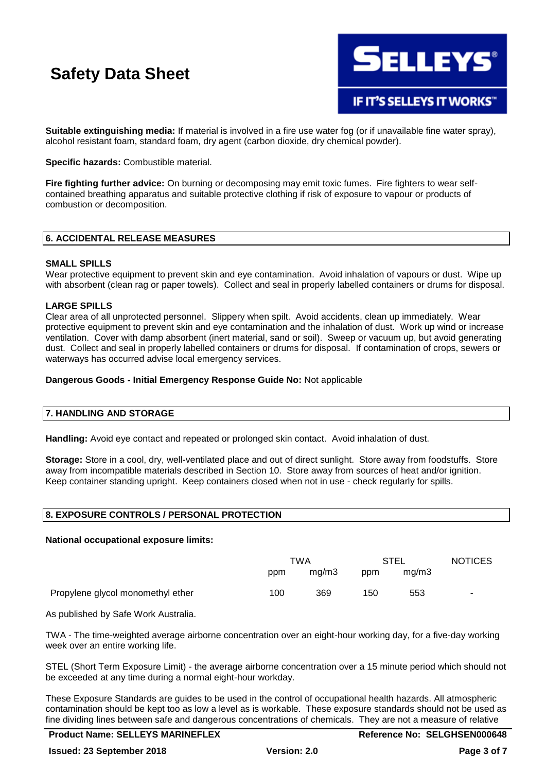

**Suitable extinguishing media:** If material is involved in a fire use water fog (or if unavailable fine water spray), alcohol resistant foam, standard foam, dry agent (carbon dioxide, dry chemical powder).

**Specific hazards:** Combustible material.

**Fire fighting further advice:** On burning or decomposing may emit toxic fumes. Fire fighters to wear selfcontained breathing apparatus and suitable protective clothing if risk of exposure to vapour or products of combustion or decomposition.

## **6. ACCIDENTAL RELEASE MEASURES**

## **SMALL SPILLS**

Wear protective equipment to prevent skin and eye contamination. Avoid inhalation of vapours or dust. Wipe up with absorbent (clean rag or paper towels). Collect and seal in properly labelled containers or drums for disposal.

## **LARGE SPILLS**

Clear area of all unprotected personnel. Slippery when spilt. Avoid accidents, clean up immediately. Wear protective equipment to prevent skin and eye contamination and the inhalation of dust. Work up wind or increase ventilation. Cover with damp absorbent (inert material, sand or soil). Sweep or vacuum up, but avoid generating dust. Collect and seal in properly labelled containers or drums for disposal. If contamination of crops, sewers or waterways has occurred advise local emergency services.

### **Dangerous Goods - Initial Emergency Response Guide No:** Not applicable

### **7. HANDLING AND STORAGE**

**Handling:** Avoid eye contact and repeated or prolonged skin contact. Avoid inhalation of dust.

**Storage:** Store in a cool, dry, well-ventilated place and out of direct sunlight. Store away from foodstuffs. Store away from incompatible materials described in Section 10. Store away from sources of heat and/or ignition. Keep container standing upright. Keep containers closed when not in use - check regularly for spills.

## **8. EXPOSURE CONTROLS / PERSONAL PROTECTION**

### **National occupational exposure limits:**

|                                   | TWA |       | <b>STEL</b> |       | <b>NOTICES</b>           |
|-----------------------------------|-----|-------|-------------|-------|--------------------------|
|                                   | ppm | mq/m3 | ppm         | ma/m3 |                          |
| Propylene glycol monomethyl ether | 100 | 369   | 150         | 553   | $\overline{\phantom{a}}$ |

As published by Safe Work Australia.

TWA - The time-weighted average airborne concentration over an eight-hour working day, for a five-day working week over an entire working life.

STEL (Short Term Exposure Limit) - the average airborne concentration over a 15 minute period which should not be exceeded at any time during a normal eight-hour workday.

These Exposure Standards are guides to be used in the control of occupational health hazards. All atmospheric contamination should be kept too as low a level as is workable. These exposure standards should not be used as fine dividing lines between safe and dangerous concentrations of chemicals. They are not a measure of relative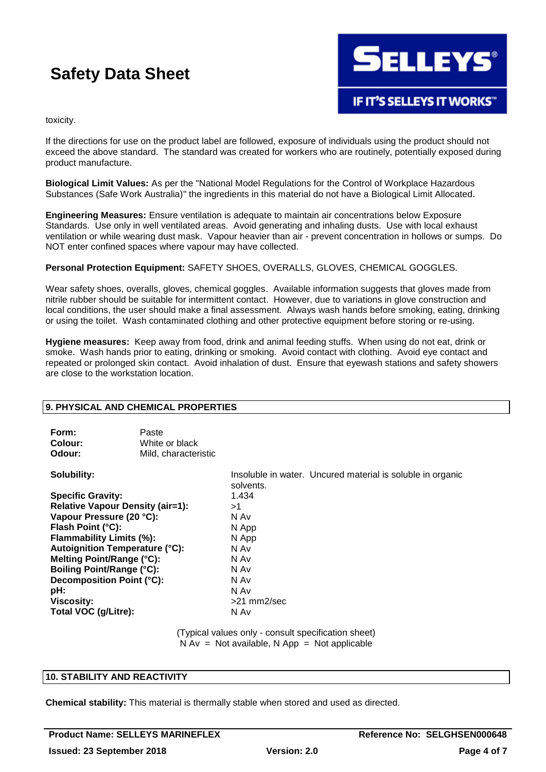

toxicity.

If the directions for use on the product label are followed, exposure of individuals using the product should not exceed the above standard. The standard was created for workers who are routinely, potentially exposed during product manufacture.

**Biological Limit Values:** As per the "National Model Regulations for the Control of Workplace Hazardous Substances (Safe Work Australia)" the ingredients in this material do not have a Biological Limit Allocated.

**Engineering Measures:** Ensure ventilation is adequate to maintain air concentrations below Exposure Standards. Use only in well ventilated areas. Avoid generating and inhaling dusts. Use with local exhaust ventilation or while wearing dust mask. Vapour heavier than air - prevent concentration in hollows or sumps. Do NOT enter confined spaces where vapour may have collected.

**Personal Protection Equipment:** SAFETY SHOES, OVERALLS, GLOVES, CHEMICAL GOGGLES.

Wear safety shoes, overalls, gloves, chemical goggles. Available information suggests that gloves made from nitrile rubber should be suitable for intermittent contact. However, due to variations in glove construction and local conditions, the user should make a final assessment. Always wash hands before smoking, eating, drinking or using the toilet. Wash contaminated clothing and other protective equipment before storing or re-using.

**Hygiene measures:** Keep away from food, drink and animal feeding stuffs. When using do not eat, drink or smoke. Wash hands prior to eating, drinking or smoking. Avoid contact with clothing. Avoid eye contact and repeated or prolonged skin contact. Avoid inhalation of dust. Ensure that eyewash stations and safety showers are close to the workstation location.

## **9. PHYSICAL AND CHEMICAL PROPERTIES**

| Form:   | Paste                |
|---------|----------------------|
| Colour: | White or black       |
| Odour:  | Mild, characteristic |

**Specific Gravity:** 1.434 **Relative Vapour Density (air=1):** >1 **Vapour Pressure (20 °C):** N Av **Flash Point (°C):** N App **Flammability Limits (%):** N App **Autoignition Temperature (°C):** N Av **Melting Point/Range (°C):** N Av **Boiling Point/Range (°C):** N Av **Decomposition Point (°C):** N Av **pH:** N Av **Viscosity:**  $>21$  mm2/sec **Total VOC (g/Litre):** N Av

**Solubility:** Insoluble in water. Uncured material is soluble in organic solvents.

> (Typical values only - consult specification sheet)  $N Av = Not available, N App = Not applicable$

## **10. STABILITY AND REACTIVITY**

**Chemical stability:** This material is thermally stable when stored and used as directed.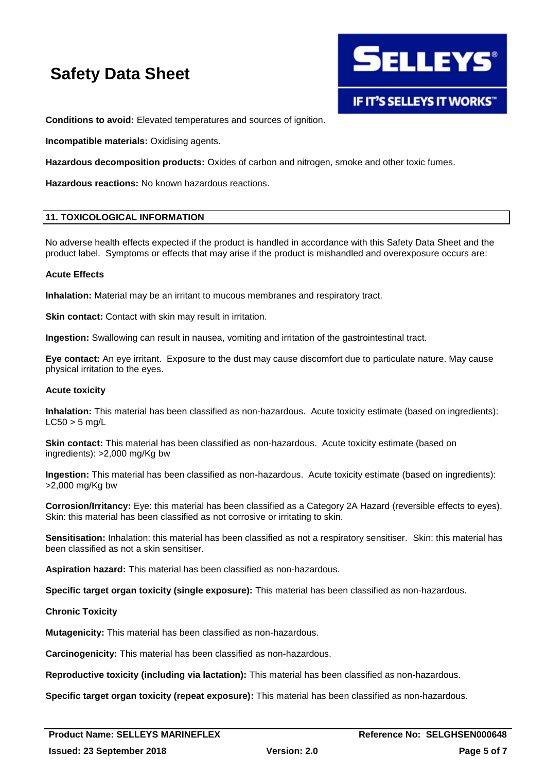

**Conditions to avoid:** Elevated temperatures and sources of ignition.

**Incompatible materials:** Oxidising agents.

**Hazardous decomposition products:** Oxides of carbon and nitrogen, smoke and other toxic fumes.

**Hazardous reactions:** No known hazardous reactions.

## **11. TOXICOLOGICAL INFORMATION**

No adverse health effects expected if the product is handled in accordance with this Safety Data Sheet and the product label. Symptoms or effects that may arise if the product is mishandled and overexposure occurs are:

### **Acute Effects**

**Inhalation:** Material may be an irritant to mucous membranes and respiratory tract.

**Skin contact:** Contact with skin may result in irritation.

**Ingestion:** Swallowing can result in nausea, vomiting and irritation of the gastrointestinal tract.

**Eye contact:** An eye irritant. Exposure to the dust may cause discomfort due to particulate nature. May cause physical irritation to the eyes.

### **Acute toxicity**

**Inhalation:** This material has been classified as non-hazardous. Acute toxicity estimate (based on ingredients):  $LC50 > 5$  mg/L

**Skin contact:** This material has been classified as non-hazardous. Acute toxicity estimate (based on ingredients): >2,000 mg/Kg bw

**Ingestion:** This material has been classified as non-hazardous. Acute toxicity estimate (based on ingredients): >2,000 mg/Kg bw

**Corrosion/Irritancy:** Eye: this material has been classified as a Category 2A Hazard (reversible effects to eyes). Skin: this material has been classified as not corrosive or irritating to skin.

**Sensitisation:** Inhalation: this material has been classified as not a respiratory sensitiser. Skin: this material has been classified as not a skin sensitiser.

**Aspiration hazard:** This material has been classified as non-hazardous.

**Specific target organ toxicity (single exposure):** This material has been classified as non-hazardous.

### **Chronic Toxicity**

**Mutagenicity:** This material has been classified as non-hazardous.

**Carcinogenicity:** This material has been classified as non-hazardous.

**Reproductive toxicity (including via lactation):** This material has been classified as non-hazardous.

**Specific target organ toxicity (repeat exposure):** This material has been classified as non-hazardous.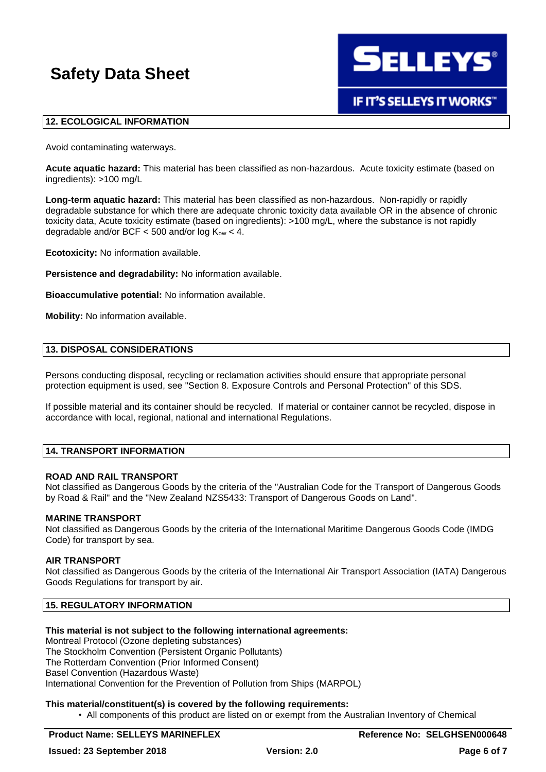

## **12. ECOLOGICAL INFORMATION**

Avoid contaminating waterways.

**Acute aquatic hazard:** This material has been classified as non-hazardous. Acute toxicity estimate (based on ingredients): >100 mg/L

**Long-term aquatic hazard:** This material has been classified as non-hazardous. Non-rapidly or rapidly degradable substance for which there are adequate chronic toxicity data available OR in the absence of chronic toxicity data, Acute toxicity estimate (based on ingredients): >100 mg/L, where the substance is not rapidly degradable and/or BCF  $<$  500 and/or log  $K_{ow}$   $<$  4.

**Ecotoxicity:** No information available.

**Persistence and degradability:** No information available.

**Bioaccumulative potential:** No information available.

**Mobility:** No information available.

## **13. DISPOSAL CONSIDERATIONS**

Persons conducting disposal, recycling or reclamation activities should ensure that appropriate personal protection equipment is used, see "Section 8. Exposure Controls and Personal Protection" of this SDS.

If possible material and its container should be recycled. If material or container cannot be recycled, dispose in accordance with local, regional, national and international Regulations.

### **14. TRANSPORT INFORMATION**

### **ROAD AND RAIL TRANSPORT**

Not classified as Dangerous Goods by the criteria of the "Australian Code for the Transport of Dangerous Goods by Road & Rail" and the "New Zealand NZS5433: Transport of Dangerous Goods on Land".

### **MARINE TRANSPORT**

Not classified as Dangerous Goods by the criteria of the International Maritime Dangerous Goods Code (IMDG Code) for transport by sea.

#### **AIR TRANSPORT**

Not classified as Dangerous Goods by the criteria of the International Air Transport Association (IATA) Dangerous Goods Regulations for transport by air.

## **15. REGULATORY INFORMATION**

### **This material is not subject to the following international agreements:**

Montreal Protocol (Ozone depleting substances) The Stockholm Convention (Persistent Organic Pollutants) The Rotterdam Convention (Prior Informed Consent) Basel Convention (Hazardous Waste) International Convention for the Prevention of Pollution from Ships (MARPOL)

### **This material/constituent(s) is covered by the following requirements:**

• All components of this product are listed on or exempt from the Australian Inventory of Chemical